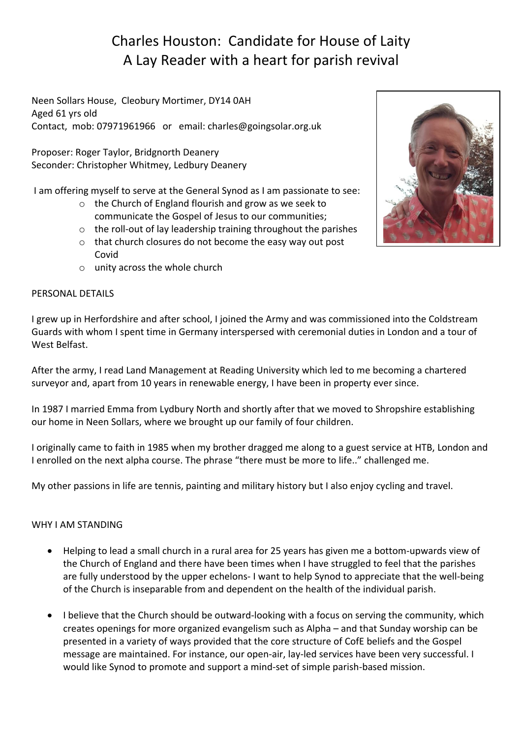# Charles Houston: Candidate for House of Laity A Lay Reader with a heart for parish revival

Neen Sollars House, Cleobury Mortimer, DY14 0AH Aged 61 yrs old Contact, mob: 07971961966 or email: charles@goingsolar.org.uk

Proposer: Roger Taylor, Bridgnorth Deanery Seconder: Christopher Whitmey, Ledbury Deanery

I am offering myself to serve at the General Synod as I am passionate to see:

- o the Church of England flourish and grow as we seek to communicate the Gospel of Jesus to our communities;
- o the roll-out of lay leadership training throughout the parishes
- o that church closures do not become the easy way out post Covid
- o unity across the whole church

### PERSONAL DETAILS

I grew up in Herfordshire and after school, I joined the Army and was commissioned into the Coldstream Guards with whom I spent time in Germany interspersed with ceremonial duties in London and a tour of West Belfast.

After the army, I read Land Management at Reading University which led to me becoming a chartered surveyor and, apart from 10 years in renewable energy, I have been in property ever since.

In 1987 I married Emma from Lydbury North and shortly after that we moved to Shropshire establishing our home in Neen Sollars, where we brought up our family of four children.

I originally came to faith in 1985 when my brother dragged me along to a guest service at HTB, London and I enrolled on the next alpha course. The phrase "there must be more to life.." challenged me.

My other passions in life are tennis, painting and military history but I also enjoy cycling and travel.

#### WHY I AM STANDING

- Helping to lead a small church in a rural area for 25 years has given me a bottom-upwards view of the Church of England and there have been times when I have struggled to feel that the parishes are fully understood by the upper echelons- I want to help Synod to appreciate that the well-being of the Church is inseparable from and dependent on the health of the individual parish.
- I believe that the Church should be outward-looking with a focus on serving the community, which creates openings for more organized evangelism such as Alpha – and that Sunday worship can be presented in a variety of ways provided that the core structure of CofE beliefs and the Gospel message are maintained. For instance, our open-air, lay-led services have been very successful. I would like Synod to promote and support a mind-set of simple parish-based mission.